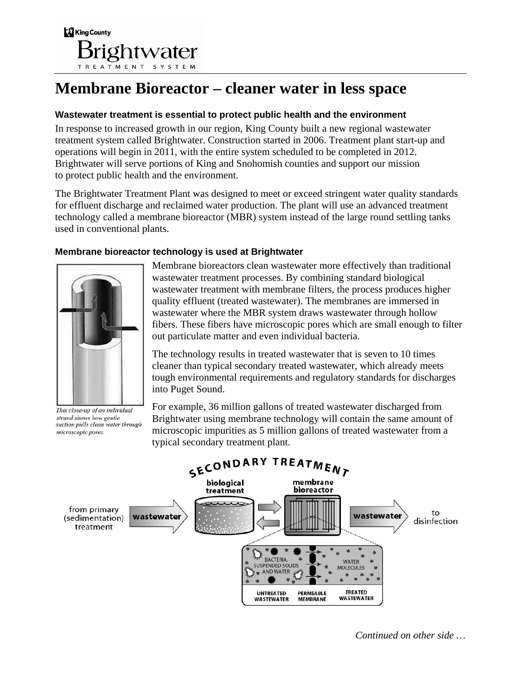

# **Membrane Bioreactor – cleaner water in less space**

#### **Wastewater treatment is essential to protect public health and the environment**

In response to increased growth in our region, King County built a new regional wastewater treatment system called Brightwater. Construction started in 2006. Treatment plant start-up and operations will begin in 2011, with the entire system scheduled to be completed in 2012. Brightwater will serve portions of King and Snohomish counties and support our mission to protect public health and the environment.

The Brightwater Treatment Plant was designed to meet or exceed stringent water quality standards for effluent discharge and reclaimed water production. The plant will use an advanced treatment technology called a membrane bioreactor (MBR) system instead of the large round settling tanks used in conventional plants.

### **Membrane bioreactor technology is used at Brightwater**



This close-up of an individual strand shows how gentle suction pulls clean water through microscopic pores.

Membrane bioreactors clean wastewater more effectively than traditional wastewater treatment processes. By combining standard biological wastewater treatment with membrane filters, the process produces higher quality effluent (treated wastewater). The membranes are immersed in wastewater where the MBR system draws wastewater through hollow fibers. These fibers have microscopic pores which are small enough to filter out particulate matter and even individual bacteria.

The technology results in treated wastewater that is seven to 10 times cleaner than typical secondary treated wastewater, which already meets tough environmental requirements and regulatory standards for discharges into Puget Sound.

For example, 36 million gallons of treated wastewater discharged from Brightwater using membrane technology will contain the same amount of microscopic impurities as 5 million gallons of treated wastewater from a typical secondary treatment plant.



*Continued on other side …*